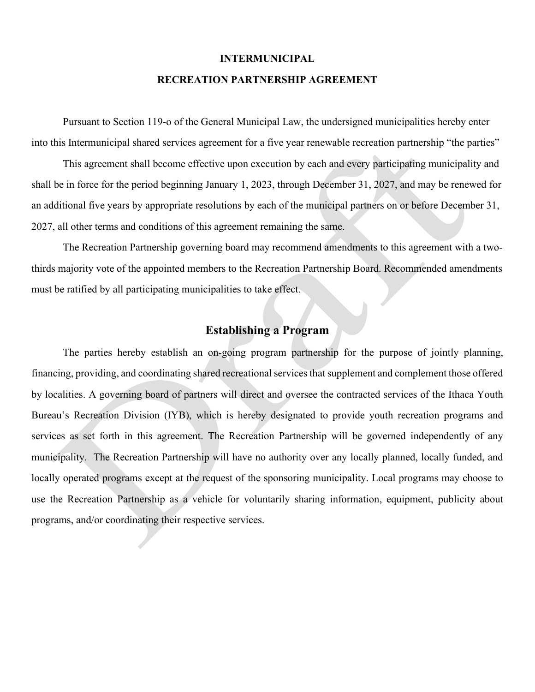### **INTERMUNICIPAL**

#### **RECREATION PARTNERSHIP AGREEMENT**

 Pursuant to Section 119-o of the General Municipal Law, the undersigned municipalities hereby enter into this Intermunicipal shared services agreement for a five year renewable recreation partnership "the parties"

This agreement shall become effective upon execution by each and every participating municipality and shall be in force for the period beginning January 1, 2023, through December 31, 2027, and may be renewed for an additional five years by appropriate resolutions by each of the municipal partners on or before December 31, 2027, all other terms and conditions of this agreement remaining the same.

The Recreation Partnership governing board may recommend amendments to this agreement with a twothirds majority vote of the appointed members to the Recreation Partnership Board. Recommended amendments must be ratified by all participating municipalities to take effect.

# **Establishing a Program**

The parties hereby establish an on-going program partnership for the purpose of jointly planning, financing, providing, and coordinating shared recreational services that supplement and complement those offered by localities. A governing board of partners will direct and oversee the contracted services of the Ithaca Youth Bureau's Recreation Division (IYB), which is hereby designated to provide youth recreation programs and services as set forth in this agreement. The Recreation Partnership will be governed independently of any municipality. The Recreation Partnership will have no authority over any locally planned, locally funded, and locally operated programs except at the request of the sponsoring municipality. Local programs may choose to use the Recreation Partnership as a vehicle for voluntarily sharing information, equipment, publicity about programs, and/or coordinating their respective services.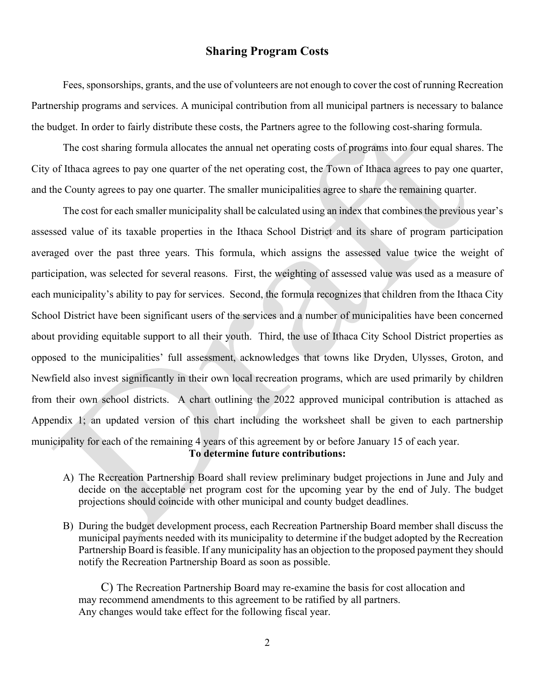## **Sharing Program Costs**

Fees, sponsorships, grants, and the use of volunteers are not enough to cover the cost of running Recreation Partnership programs and services. A municipal contribution from all municipal partners is necessary to balance the budget. In order to fairly distribute these costs, the Partners agree to the following cost-sharing formula.

The cost sharing formula allocates the annual net operating costs of programs into four equal shares. The City of Ithaca agrees to pay one quarter of the net operating cost, the Town of Ithaca agrees to pay one quarter, and the County agrees to pay one quarter. The smaller municipalities agree to share the remaining quarter.

The cost for each smaller municipality shall be calculated using an index that combines the previous year's assessed value of its taxable properties in the Ithaca School District and its share of program participation averaged over the past three years. This formula, which assigns the assessed value twice the weight of participation, was selected for several reasons. First, the weighting of assessed value was used as a measure of each municipality's ability to pay for services. Second, the formula recognizes that children from the Ithaca City School District have been significant users of the services and a number of municipalities have been concerned about providing equitable support to all their youth. Third, the use of Ithaca City School District properties as opposed to the municipalities' full assessment, acknowledges that towns like Dryden, Ulysses, Groton, and Newfield also invest significantly in their own local recreation programs, which are used primarily by children from their own school districts. A chart outlining the 2022 approved municipal contribution is attached as Appendix 1; an updated version of this chart including the worksheet shall be given to each partnership municipality for each of the remaining 4 years of this agreement by or before January 15 of each year. **To determine future contributions:**

- A) The Recreation Partnership Board shall review preliminary budget projections in June and July and decide on the acceptable net program cost for the upcoming year by the end of July. The budget projections should coincide with other municipal and county budget deadlines.
- B) During the budget development process, each Recreation Partnership Board member shall discuss the municipal payments needed with its municipality to determine if the budget adopted by the Recreation Partnership Board is feasible. If any municipality has an objection to the proposed payment they should notify the Recreation Partnership Board as soon as possible.

C) The Recreation Partnership Board may re-examine the basis for cost allocation and may recommend amendments to this agreement to be ratified by all partners. Any changes would take effect for the following fiscal year.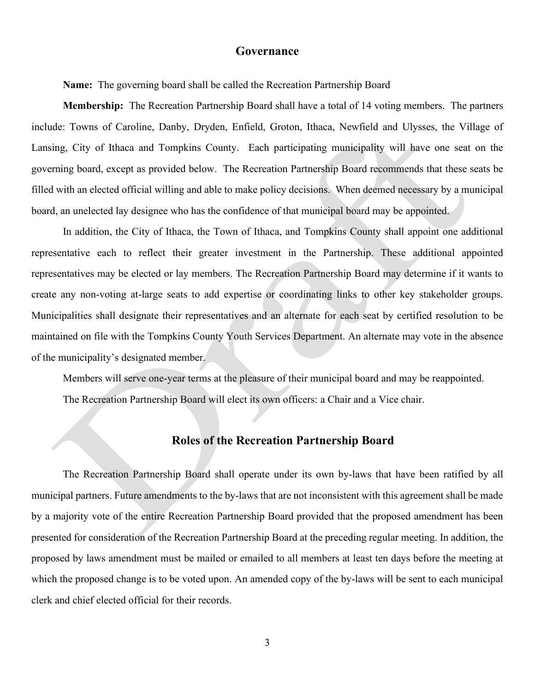#### **Governance**

**Name:** The governing board shall be called the Recreation Partnership Board

**Membership:** The Recreation Partnership Board shall have a total of 14 voting members. The partners include: Towns of Caroline, Danby, Dryden, Enfield, Groton, Ithaca, Newfield and Ulysses, the Village of Lansing, City of Ithaca and Tompkins County. Each participating municipality will have one seat on the governing board, except as provided below. The Recreation Partnership Board recommends that these seats be filled with an elected official willing and able to make policy decisions. When deemed necessary by a municipal board, an unelected lay designee who has the confidence of that municipal board may be appointed.

In addition, the City of Ithaca, the Town of Ithaca, and Tompkins County shall appoint one additional representative each to reflect their greater investment in the Partnership. These additional appointed representatives may be elected or lay members. The Recreation Partnership Board may determine if it wants to create any non-voting at-large seats to add expertise or coordinating links to other key stakeholder groups. Municipalities shall designate their representatives and an alternate for each seat by certified resolution to be maintained on file with the Tompkins County Youth Services Department. An alternate may vote in the absence of the municipality's designated member.

Members will serve one-year terms at the pleasure of their municipal board and may be reappointed.

The Recreation Partnership Board will elect its own officers: a Chair and a Vice chair.

### **Roles of the Recreation Partnership Board**

The Recreation Partnership Board shall operate under its own by-laws that have been ratified by all municipal partners. Future amendments to the by-laws that are not inconsistent with this agreement shall be made by a majority vote of the entire Recreation Partnership Board provided that the proposed amendment has been presented for consideration of the Recreation Partnership Board at the preceding regular meeting. In addition, the proposed by laws amendment must be mailed or emailed to all members at least ten days before the meeting at which the proposed change is to be voted upon. An amended copy of the by-laws will be sent to each municipal clerk and chief elected official for their records.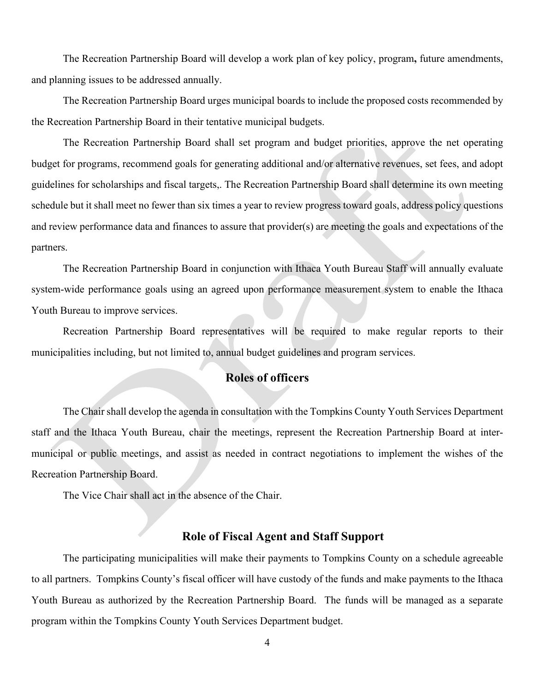The Recreation Partnership Board will develop a work plan of key policy, program**,** future amendments, and planning issues to be addressed annually.

The Recreation Partnership Board urges municipal boards to include the proposed costs recommended by the Recreation Partnership Board in their tentative municipal budgets.

The Recreation Partnership Board shall set program and budget priorities, approve the net operating budget for programs, recommend goals for generating additional and/or alternative revenues, set fees, and adopt guidelines for scholarships and fiscal targets,. The Recreation Partnership Board shall determine its own meeting schedule but it shall meet no fewer than six times a year to review progress toward goals, address policy questions and review performance data and finances to assure that provider(s) are meeting the goals and expectations of the partners.

The Recreation Partnership Board in conjunction with Ithaca Youth Bureau Staff will annually evaluate system-wide performance goals using an agreed upon performance measurement system to enable the Ithaca Youth Bureau to improve services.

Recreation Partnership Board representatives will be required to make regular reports to their municipalities including, but not limited to, annual budget guidelines and program services.

### **Roles of officers**

The Chair shall develop the agenda in consultation with the Tompkins County Youth Services Department staff and the Ithaca Youth Bureau, chair the meetings, represent the Recreation Partnership Board at intermunicipal or public meetings, and assist as needed in contract negotiations to implement the wishes of the Recreation Partnership Board.

The Vice Chair shall act in the absence of the Chair.

#### **Role of Fiscal Agent and Staff Support**

The participating municipalities will make their payments to Tompkins County on a schedule agreeable to all partners. Tompkins County's fiscal officer will have custody of the funds and make payments to the Ithaca Youth Bureau as authorized by the Recreation Partnership Board. The funds will be managed as a separate program within the Tompkins County Youth Services Department budget.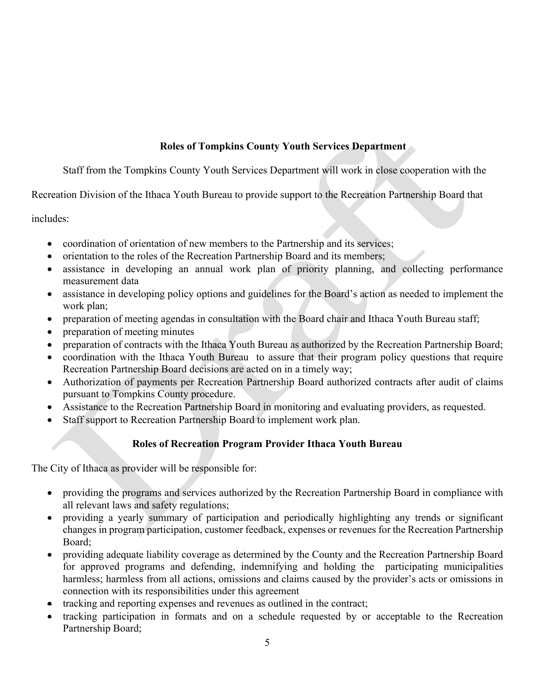# **Roles of Tompkins County Youth Services Department**

Staff from the Tompkins County Youth Services Department will work in close cooperation with the

Recreation Division of the Ithaca Youth Bureau to provide support to the Recreation Partnership Board that

includes:

- coordination of orientation of new members to the Partnership and its services;
- orientation to the roles of the Recreation Partnership Board and its members;
- assistance in developing an annual work plan of priority planning, and collecting performance measurement data
- assistance in developing policy options and guidelines for the Board's action as needed to implement the work plan;
- preparation of meeting agendas in consultation with the Board chair and Ithaca Youth Bureau staff;
- preparation of meeting minutes
- preparation of contracts with the Ithaca Youth Bureau as authorized by the Recreation Partnership Board;
- coordination with the Ithaca Youth Bureau to assure that their program policy questions that require Recreation Partnership Board decisions are acted on in a timely way;
- Authorization of payments per Recreation Partnership Board authorized contracts after audit of claims pursuant to Tompkins County procedure.
- Assistance to the Recreation Partnership Board in monitoring and evaluating providers, as requested.
- Staff support to Recreation Partnership Board to implement work plan.

## **Roles of Recreation Program Provider Ithaca Youth Bureau**

The City of Ithaca as provider will be responsible for:

- providing the programs and services authorized by the Recreation Partnership Board in compliance with all relevant laws and safety regulations;
- providing a yearly summary of participation and periodically highlighting any trends or significant changes in program participation, customer feedback, expenses or revenues for the Recreation Partnership Board;
- providing adequate liability coverage as determined by the County and the Recreation Partnership Board for approved programs and defending, indemnifying and holding the participating municipalities harmless; harmless from all actions, omissions and claims caused by the provider's acts or omissions in connection with its responsibilities under this agreement
- tracking and reporting expenses and revenues as outlined in the contract;
- tracking participation in formats and on a schedule requested by or acceptable to the Recreation Partnership Board;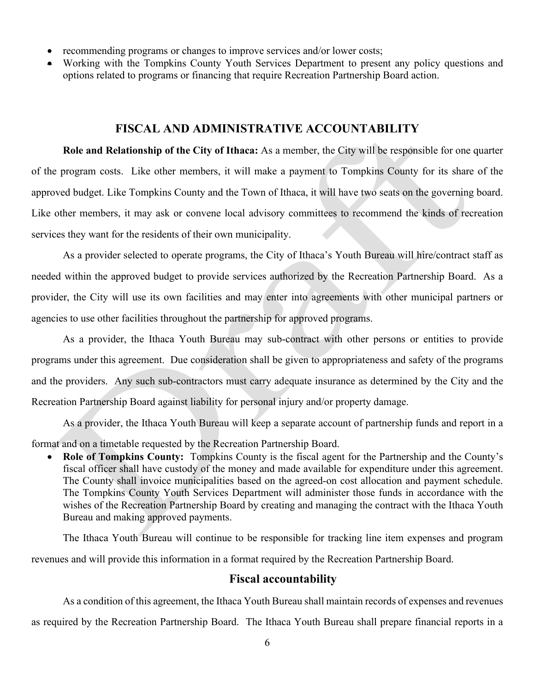- recommending programs or changes to improve services and/or lower costs;
- Working with the Tompkins County Youth Services Department to present any policy questions and options related to programs or financing that require Recreation Partnership Board action.

### **FISCAL AND ADMINISTRATIVE ACCOUNTABILITY**

**Role and Relationship of the City of Ithaca:** As a member, the City will be responsible for one quarter of the program costs. Like other members, it will make a payment to Tompkins County for its share of the approved budget. Like Tompkins County and the Town of Ithaca, it will have two seats on the governing board. Like other members, it may ask or convene local advisory committees to recommend the kinds of recreation services they want for the residents of their own municipality.

As a provider selected to operate programs, the City of Ithaca's Youth Bureau will hire/contract staff as needed within the approved budget to provide services authorized by the Recreation Partnership Board. As a provider, the City will use its own facilities and may enter into agreements with other municipal partners or agencies to use other facilities throughout the partnership for approved programs.

As a provider, the Ithaca Youth Bureau may sub-contract with other persons or entities to provide programs under this agreement. Due consideration shall be given to appropriateness and safety of the programs and the providers. Any such sub-contractors must carry adequate insurance as determined by the City and the Recreation Partnership Board against liability for personal injury and/or property damage.

As a provider, the Ithaca Youth Bureau will keep a separate account of partnership funds and report in a format and on a timetable requested by the Recreation Partnership Board.

• **Role of Tompkins County:** Tompkins County is the fiscal agent for the Partnership and the County's fiscal officer shall have custody of the money and made available for expenditure under this agreement. The County shall invoice municipalities based on the agreed-on cost allocation and payment schedule. The Tompkins County Youth Services Department will administer those funds in accordance with the wishes of the Recreation Partnership Board by creating and managing the contract with the Ithaca Youth Bureau and making approved payments.

The Ithaca Youth Bureau will continue to be responsible for tracking line item expenses and program revenues and will provide this information in a format required by the Recreation Partnership Board.

### **Fiscal accountability**

As a condition of this agreement, the Ithaca Youth Bureau shall maintain records of expenses and revenues as required by the Recreation Partnership Board. The Ithaca Youth Bureau shall prepare financial reports in a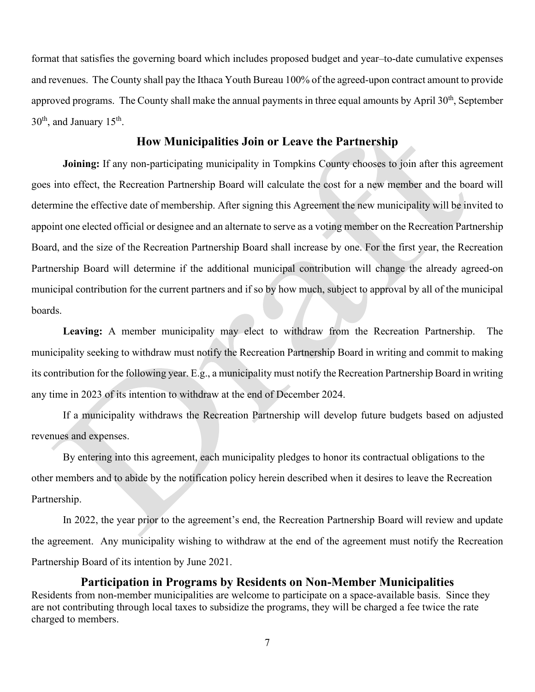format that satisfies the governing board which includes proposed budget and year–to-date cumulative expenses and revenues. The County shall pay the Ithaca Youth Bureau 100% of the agreed-upon contract amount to provide approved programs. The County shall make the annual payments in three equal amounts by April 30<sup>th</sup>, September  $30<sup>th</sup>$ , and January  $15<sup>th</sup>$ .

### **How Municipalities Join or Leave the Partnership**

**Joining:** If any non-participating municipality in Tompkins County chooses to join after this agreement goes into effect, the Recreation Partnership Board will calculate the cost for a new member and the board will determine the effective date of membership. After signing this Agreement the new municipality will be invited to appoint one elected official or designee and an alternate to serve as a voting member on the Recreation Partnership Board, and the size of the Recreation Partnership Board shall increase by one. For the first year, the Recreation Partnership Board will determine if the additional municipal contribution will change the already agreed-on municipal contribution for the current partners and if so by how much, subject to approval by all of the municipal boards.

**Leaving:** A member municipality may elect to withdraw from the Recreation Partnership. The municipality seeking to withdraw must notify the Recreation Partnership Board in writing and commit to making its contribution for the following year. E.g., a municipality must notify the Recreation Partnership Board in writing any time in 2023 of its intention to withdraw at the end of December 2024.

If a municipality withdraws the Recreation Partnership will develop future budgets based on adjusted revenues and expenses.

By entering into this agreement, each municipality pledges to honor its contractual obligations to the other members and to abide by the notification policy herein described when it desires to leave the Recreation Partnership.

In 2022, the year prior to the agreement's end, the Recreation Partnership Board will review and update the agreement. Any municipality wishing to withdraw at the end of the agreement must notify the Recreation Partnership Board of its intention by June 2021.

#### **Participation in Programs by Residents on Non-Member Municipalities**

Residents from non-member municipalities are welcome to participate on a space-available basis. Since they are not contributing through local taxes to subsidize the programs, they will be charged a fee twice the rate charged to members.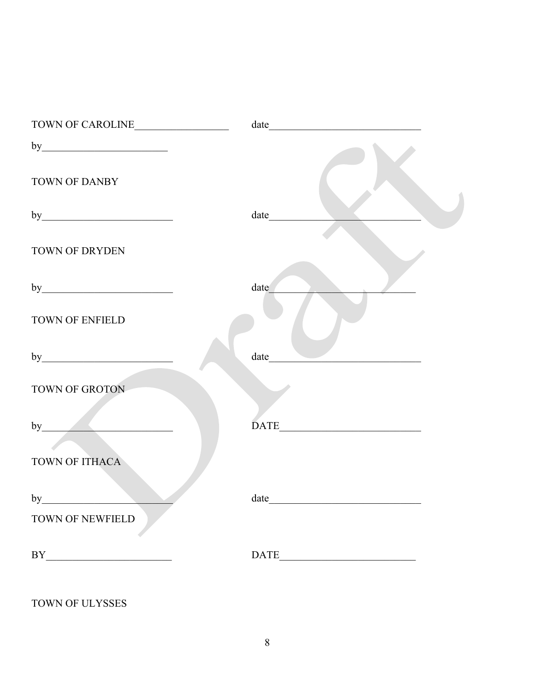| TOWN OF CAROLINE                                                                                                                                                                                                                                                                                                                                                                            |      |
|---------------------------------------------------------------------------------------------------------------------------------------------------------------------------------------------------------------------------------------------------------------------------------------------------------------------------------------------------------------------------------------------|------|
|                                                                                                                                                                                                                                                                                                                                                                                             |      |
| TOWN OF DANBY                                                                                                                                                                                                                                                                                                                                                                               |      |
|                                                                                                                                                                                                                                                                                                                                                                                             | date |
| TOWN OF DRYDEN                                                                                                                                                                                                                                                                                                                                                                              |      |
|                                                                                                                                                                                                                                                                                                                                                                                             | date |
| <b>TOWN OF ENFIELD</b>                                                                                                                                                                                                                                                                                                                                                                      |      |
|                                                                                                                                                                                                                                                                                                                                                                                             | date |
| TOWN OF GROTON                                                                                                                                                                                                                                                                                                                                                                              |      |
| by                                                                                                                                                                                                                                                                                                                                                                                          | DATE |
| TOWN OF ITHACA                                                                                                                                                                                                                                                                                                                                                                              |      |
| by                                                                                                                                                                                                                                                                                                                                                                                          |      |
| TOWN OF NEWFIELD                                                                                                                                                                                                                                                                                                                                                                            |      |
| $\begin{picture}(150,10) \put(0,0){\dashbox{0.5}(10,0){ }} \put(15,0){\circle{10}} \put(15,0){\circle{10}} \put(15,0){\circle{10}} \put(15,0){\circle{10}} \put(15,0){\circle{10}} \put(15,0){\circle{10}} \put(15,0){\circle{10}} \put(15,0){\circle{10}} \put(15,0){\circle{10}} \put(15,0){\circle{10}} \put(15,0){\circle{10}} \put(15,0){\circle{10}} \put(15,0){\circle{10}} \put(15$ |      |

TOWN OF ULYSSES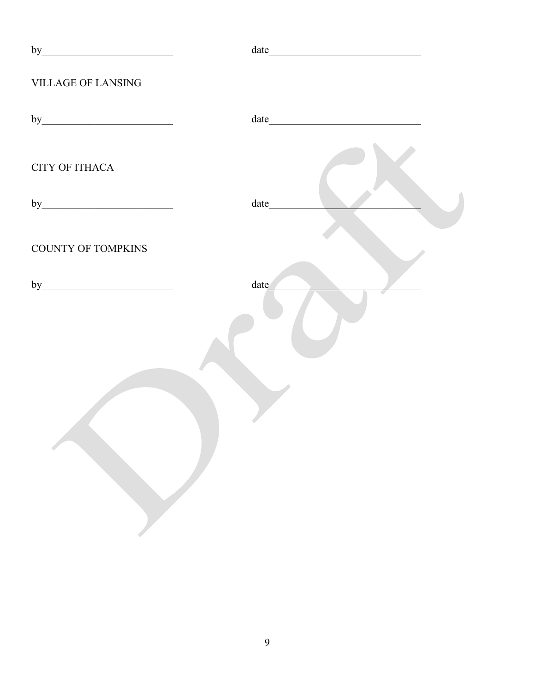| $\text{date}\underline{\hspace{2cm}}\text{---}\hspace{2cm}\underline{\hspace{2cm}}\text{---}\hspace{2cm}\underline{\hspace{2cm}}\text{---}\hspace{2cm}\underline{\hspace{2cm}}\text{---}\hspace{2cm}\underline{\hspace{2cm}}\text{---}\hspace{2cm}\underline{\hspace{2cm}}\text{---}\hspace{2cm}\underline{\hspace{2cm}}\text{---}\hspace{2cm}\underline{\hspace{2cm}}\text{---}\hspace{2cm}\underline{\hspace{2cm}}\text{---}\hspace{2cm}\underline{\hspace{2cm}}\text{---}\hspace{2cm}\underline{\hspace{2cm}}\text{---}\hspace{2cm}\underline{\hspace{2$ |
|-------------------------------------------------------------------------------------------------------------------------------------------------------------------------------------------------------------------------------------------------------------------------------------------------------------------------------------------------------------------------------------------------------------------------------------------------------------------------------------------------------------------------------------------------------------|
|                                                                                                                                                                                                                                                                                                                                                                                                                                                                                                                                                             |
|                                                                                                                                                                                                                                                                                                                                                                                                                                                                                                                                                             |
|                                                                                                                                                                                                                                                                                                                                                                                                                                                                                                                                                             |
|                                                                                                                                                                                                                                                                                                                                                                                                                                                                                                                                                             |
|                                                                                                                                                                                                                                                                                                                                                                                                                                                                                                                                                             |
| date                                                                                                                                                                                                                                                                                                                                                                                                                                                                                                                                                        |
|                                                                                                                                                                                                                                                                                                                                                                                                                                                                                                                                                             |
|                                                                                                                                                                                                                                                                                                                                                                                                                                                                                                                                                             |